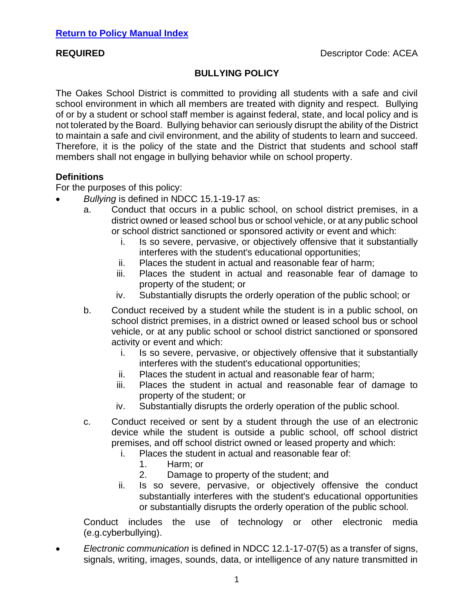# **BULLYING POLICY**

The Oakes School District is committed to providing all students with a safe and civil school environment in which all members are treated with dignity and respect. Bullying of or by a student or school staff member is against federal, state, and local policy and is not tolerated by the Board. Bullying behavior can seriously disrupt the ability of the District to maintain a safe and civil environment, and the ability of students to learn and succeed. Therefore, it is the policy of the state and the District that students and school staff members shall not engage in bullying behavior while on school property.

## **Definitions**

For the purposes of this policy:

- *Bullying* is defined in NDCC 15.1-19-17 as:
	- a. Conduct that occurs in a public school, on school district premises, in a district owned or leased school bus or school vehicle, or at any public school or school district sanctioned or sponsored activity or event and which:
		- i. Is so severe, pervasive, or objectively offensive that it substantially interferes with the student's educational opportunities;
		- ii. Places the student in actual and reasonable fear of harm;
		- iii. Places the student in actual and reasonable fear of damage to property of the student; or
		- iv. Substantially disrupts the orderly operation of the public school; or
	- b. Conduct received by a student while the student is in a public school, on school district premises, in a district owned or leased school bus or school vehicle, or at any public school or school district sanctioned or sponsored activity or event and which:
		- i. Is so severe, pervasive, or objectively offensive that it substantially interferes with the student's educational opportunities;
		- ii. Places the student in actual and reasonable fear of harm;
		- iii. Places the student in actual and reasonable fear of damage to property of the student; or
		- iv. Substantially disrupts the orderly operation of the public school.
	- c. Conduct received or sent by a student through the use of an electronic device while the student is outside a public school, off school district premises, and off school district owned or leased property and which:
		- i. Places the student in actual and reasonable fear of:
			- 1. Harm; or
			- 2. Damage to property of the student; and
		- ii. Is so severe, pervasive, or objectively offensive the conduct substantially interferes with the student's educational opportunities or substantially disrupts the orderly operation of the public school.

Conduct includes the use of technology or other electronic media (e.g.cyberbullying).

• *Electronic communication* is defined in NDCC 12.1-17-07(5) as a transfer of signs, signals, writing, images, sounds, data, or intelligence of any nature transmitted in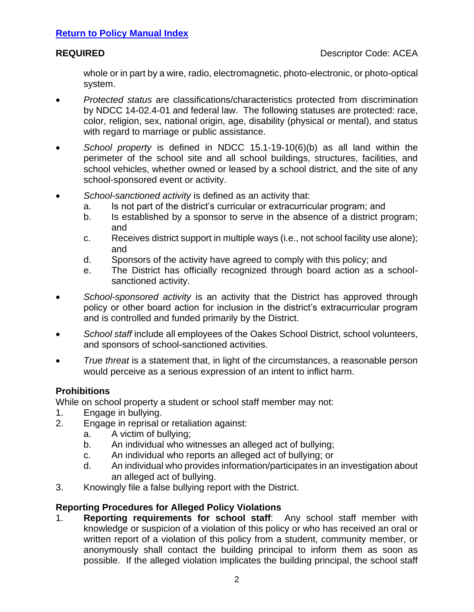whole or in part by a wire, radio, electromagnetic, photo-electronic, or photo-optical system.

- *Protected status* are classifications/characteristics protected from discrimination by NDCC 14-02.4-01 and federal law. The following statuses are protected: race, color, religion, sex, national origin, age, disability (physical or mental), and status with regard to marriage or public assistance.
- *School property* is defined in NDCC 15.1-19-10(6)(b) as all land within the perimeter of the school site and all school buildings, structures, facilities, and school vehicles, whether owned or leased by a school district, and the site of any school-sponsored event or activity.
- *School-sanctioned activity* is defined as an activity that:
	- a. Is not part of the district's curricular or extracurricular program; and
	- b. Is established by a sponsor to serve in the absence of a district program; and
	- c. Receives district support in multiple ways (i.e., not school facility use alone); and
	- d. Sponsors of the activity have agreed to comply with this policy; and
	- e. The District has officially recognized through board action as a schoolsanctioned activity.
- *School-sponsored activity* is an activity that the District has approved through policy or other board action for inclusion in the district's extracurricular program and is controlled and funded primarily by the District.
- *School staff* include all employees of the Oakes School District, school volunteers, and sponsors of school-sanctioned activities.
- *True threat* is a statement that, in light of the circumstances, a reasonable person would perceive as a serious expression of an intent to inflict harm.

# **Prohibitions**

While on school property a student or school staff member may not:

- 1. Engage in bullying.
- 2. Engage in reprisal or retaliation against:
	- a. A victim of bullying;
	- b. An individual who witnesses an alleged act of bullying;
	- c. An individual who reports an alleged act of bullying; or
	- d. An individual who provides information/participates in an investigation about an alleged act of bullying.
- 3. Knowingly file a false bullying report with the District.

# **Reporting Procedures for Alleged Policy Violations**

1. **Reporting requirements for school staff**: Any school staff member with knowledge or suspicion of a violation of this policy or who has received an oral or written report of a violation of this policy from a student, community member, or anonymously shall contact the building principal to inform them as soon as possible. If the alleged violation implicates the building principal, the school staff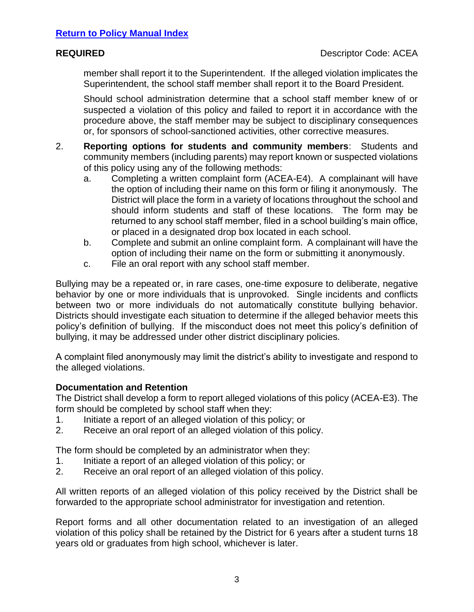member shall report it to the Superintendent. If the alleged violation implicates the Superintendent, the school staff member shall report it to the Board President.

Should school administration determine that a school staff member knew of or suspected a violation of this policy and failed to report it in accordance with the procedure above, the staff member may be subject to disciplinary consequences or, for sponsors of school-sanctioned activities, other corrective measures.

- 2. **Reporting options for students and community members**: Students and community members (including parents) may report known or suspected violations of this policy using any of the following methods:
	- a. Completing a written complaint form (ACEA-E4). A complainant will have the option of including their name on this form or filing it anonymously. The District will place the form in a variety of locations throughout the school and should inform students and staff of these locations. The form may be returned to any school staff member, filed in a school building's main office, or placed in a designated drop box located in each school.
	- b. Complete and submit an online complaint form. A complainant will have the option of including their name on the form or submitting it anonymously.
	- c. File an oral report with any school staff member.

Bullying may be a repeated or, in rare cases, one-time exposure to deliberate, negative behavior by one or more individuals that is unprovoked. Single incidents and conflicts between two or more individuals do not automatically constitute bullying behavior. Districts should investigate each situation to determine if the alleged behavior meets this policy's definition of bullying. If the misconduct does not meet this policy's definition of bullying, it may be addressed under other district disciplinary policies.

A complaint filed anonymously may limit the district's ability to investigate and respond to the alleged violations.

# **Documentation and Retention**

The District shall develop a form to report alleged violations of this policy (ACEA-E3). The form should be completed by school staff when they:

- 1. Initiate a report of an alleged violation of this policy; or
- 2. Receive an oral report of an alleged violation of this policy.

The form should be completed by an administrator when they:

- 1. Initiate a report of an alleged violation of this policy; or
- 2. Receive an oral report of an alleged violation of this policy.

All written reports of an alleged violation of this policy received by the District shall be forwarded to the appropriate school administrator for investigation and retention.

Report forms and all other documentation related to an investigation of an alleged violation of this policy shall be retained by the District for 6 years after a student turns 18 years old or graduates from high school, whichever is later.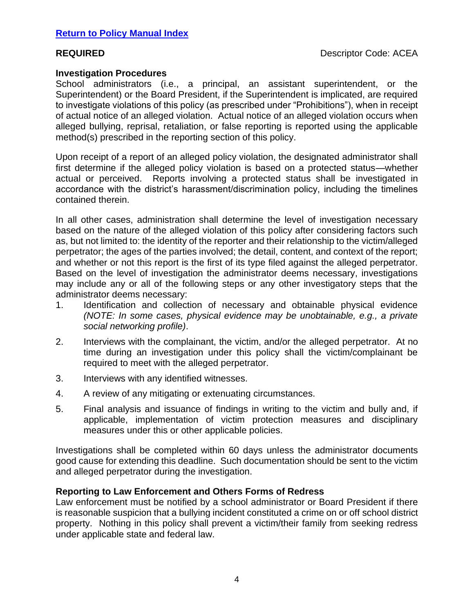### **Investigation Procedures**

School administrators (i.e., a principal, an assistant superintendent, or the Superintendent) or the Board President, if the Superintendent is implicated, are required to investigate violations of this policy (as prescribed under "Prohibitions"), when in receipt of actual notice of an alleged violation. Actual notice of an alleged violation occurs when alleged bullying, reprisal, retaliation, or false reporting is reported using the applicable method(s) prescribed in the reporting section of this policy.

Upon receipt of a report of an alleged policy violation, the designated administrator shall first determine if the alleged policy violation is based on a protected status—whether actual or perceived. Reports involving a protected status shall be investigated in accordance with the district's harassment/discrimination policy, including the timelines contained therein.

In all other cases, administration shall determine the level of investigation necessary based on the nature of the alleged violation of this policy after considering factors such as, but not limited to: the identity of the reporter and their relationship to the victim/alleged perpetrator; the ages of the parties involved; the detail, content, and context of the report; and whether or not this report is the first of its type filed against the alleged perpetrator. Based on the level of investigation the administrator deems necessary, investigations may include any or all of the following steps or any other investigatory steps that the administrator deems necessary:

- 1. Identification and collection of necessary and obtainable physical evidence *(NOTE: In some cases, physical evidence may be unobtainable, e.g., a private social networking profile)*.
- 2. Interviews with the complainant, the victim, and/or the alleged perpetrator. At no time during an investigation under this policy shall the victim/complainant be required to meet with the alleged perpetrator.
- 3. Interviews with any identified witnesses.
- 4. A review of any mitigating or extenuating circumstances.
- 5. Final analysis and issuance of findings in writing to the victim and bully and, if applicable, implementation of victim protection measures and disciplinary measures under this or other applicable policies.

Investigations shall be completed within 60 days unless the administrator documents good cause for extending this deadline. Such documentation should be sent to the victim and alleged perpetrator during the investigation.

## **Reporting to Law Enforcement and Others Forms of Redress**

Law enforcement must be notified by a school administrator or Board President if there is reasonable suspicion that a bullying incident constituted a crime on or off school district property. Nothing in this policy shall prevent a victim/their family from seeking redress under applicable state and federal law.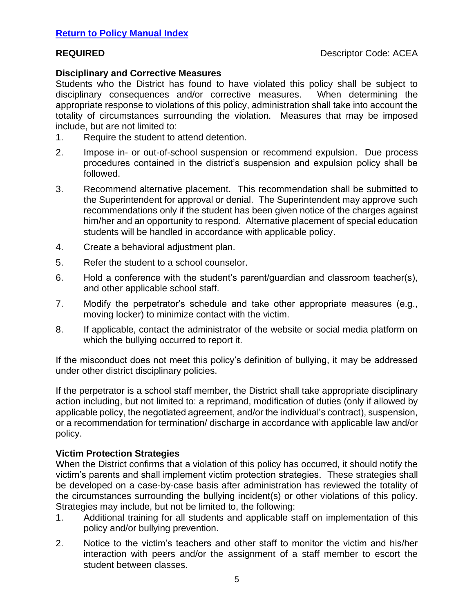## **Disciplinary and Corrective Measures**

Students who the District has found to have violated this policy shall be subject to disciplinary consequences and/or corrective measures. When determining the appropriate response to violations of this policy, administration shall take into account the totality of circumstances surrounding the violation. Measures that may be imposed include, but are not limited to:

- 1. Require the student to attend detention.
- 2. Impose in- or out-of-school suspension or recommend expulsion. Due process procedures contained in the district's suspension and expulsion policy shall be followed.
- 3. Recommend alternative placement. This recommendation shall be submitted to the Superintendent for approval or denial. The Superintendent may approve such recommendations only if the student has been given notice of the charges against him/her and an opportunity to respond. Alternative placement of special education students will be handled in accordance with applicable policy.
- 4. Create a behavioral adjustment plan.
- 5. Refer the student to a school counselor.
- 6. Hold a conference with the student's parent/guardian and classroom teacher(s), and other applicable school staff.
- 7. Modify the perpetrator's schedule and take other appropriate measures (e.g., moving locker) to minimize contact with the victim.
- 8. If applicable, contact the administrator of the website or social media platform on which the bullying occurred to report it.

If the misconduct does not meet this policy's definition of bullying, it may be addressed under other district disciplinary policies.

If the perpetrator is a school staff member, the District shall take appropriate disciplinary action including, but not limited to: a reprimand, modification of duties (only if allowed by applicable policy, the negotiated agreement, and/or the individual's contract), suspension, or a recommendation for termination/ discharge in accordance with applicable law and/or policy.

## **Victim Protection Strategies**

When the District confirms that a violation of this policy has occurred, it should notify the victim's parents and shall implement victim protection strategies. These strategies shall be developed on a case-by-case basis after administration has reviewed the totality of the circumstances surrounding the bullying incident(s) or other violations of this policy. Strategies may include, but not be limited to, the following:

- 1. Additional training for all students and applicable staff on implementation of this policy and/or bullying prevention.
- 2. Notice to the victim's teachers and other staff to monitor the victim and his/her interaction with peers and/or the assignment of a staff member to escort the student between classes.